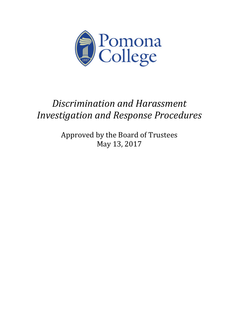

# *Discrimination and Harassment Investigation and Response Procedures*

Approved by the Board of Trustees May 13, 2017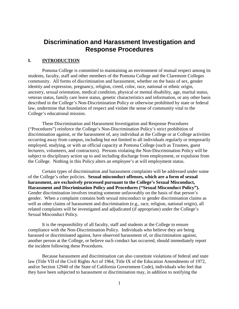## **Discrimination and Harassment Investigation and Response Procedures**

## **I. INTRODUCTION**

 Pomona College is committed to maintaining an environment of mutual respect among its law, undermine that foundation of respect and violate the sense of community vital to the students, faculty, staff and other members of the Pomona College and the Claremont Colleges community. All forms of discrimination and harassment, whether on the basis of sex, gender identity and expression, pregnancy, religion, creed, color, race, national or ethnic origin, ancestry, sexual orientation, medical condition, physical or mental disability, age, marital status, veteran status, family care leave status, genetic characteristics and information, or any other basis described in the College's Non-Discrimination Policy or otherwise prohibited by state or federal College's educational mission.

 employed, studying, or with an official capacity at Pomona College (such as Trustees, guest the College. Nothing in this Policy alters an employee's at will employment status. These Discrimination and Harassment Investigation and Response Procedures ("Procedures") reinforce the College's Non-Discrimination Policy's strict prohibition of discrimination against, or the harassment of, any individual at the College or at College activities occurring away from campus, including but not limited to all individuals regularly or temporarily lecturers, volunteers, and contractors). Persons violating the Non-Discrimination Policy will be subject to disciplinary action up to and including discharge from employment, or expulsion from

 of the College's other policies. **Sexual misconduct offenses, which are a form of sexual Harassment and Discrimination Policy and Procedures ("Sexual Misconduct Policy").**  gender. When a complaint contains both sexual misconduct or gender discrimination claims as Sexual Misconduct Policy. Certain types of discrimination and harassment complaints will be addressed under some **harassment, are exclusively processed pursuant to the College's Sexual Misconduct,**  Gender discrimination involves treating someone unfavorably on the basis of that person's well as other claims of harassment and discrimination (e.g., race, religion, national origin), all related complaints will be investigated and adjudicated (if appropriate) under the College's

 compliance with the Non-Discrimination Policy. Individuals who believe they are being It is the responsibility of all faculty, staff and students at the College to ensure harassed or discriminated against, have observed harassment of, or discrimination against, another person at the College, or believe such conduct has occurred, should immediately report the incident following these Procedures.

Because harassment and discrimination can also constitute violations of federal and state law (Title VII of the Civil Rights Act of 1964, Title IX of the Education Amendments of 1972, and/or Section 12940 of the State of California Government Code), individuals who feel that they have been subjected to harassment or discrimination may, in addition to notifying the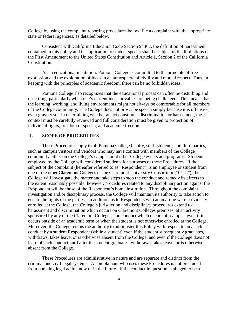state or federal agencies, as detailed below. College by using the complaint reporting procedures below, file a complaint with the appropriate

Consistent with California Education Code Section 94367, the definition of harassment contained in this policy and its application to student speech shall be subject to the limitations of the First Amendment to the United States Constitution and Article 1, Section 2 of the California Constitution.

As an educational institution, Pomona College is committed to the principle of free expression and the exploration of ideas in an atmosphere of civility and mutual respect. Thus, in keeping with the principles of academic freedom, there can be no forbidden ideas.

Pomona College also recognizes that the educational process can often be disturbing and unsettling, particularly when one's current ideas or values are being challenged. This means that the learning, working, and living environments might not always be comfortable for all members of the College community. The College does not proscribe speech simply because it is offensive, even gravely so. In determining whether an act constitutes discrimination or harassment, the context must be carefully reviewed and full consideration must be given to protection of individual rights, freedom of speech, and academic freedom.

## **II. SCOPE OF PROCEDURES**

 These Procedures apply to all Pomona College faculty, staff, students, and third parties, such as campus visitors and vendors who may have contact with members of the College community either on the College's campus or at other College events and programs. Students investigation and/or disciplinary process, the College will maintain its authority to take action to ensure the rights of the parties. In addition, as to Respondents who at any time were previously occurs outside of an academic term or when the student is not otherwise enrolled at the College. conduct by a student Respondent (while a student) even if the student subsequently graduates, withdraws, takes leave, or is otherwise absent from the College, and even if the College does not absent from the College. employed by the College will considered students for purposes of these Procedures. If the subject of the complaint (hereafter referred to as "Respondent") is an employee or student from one of the other Claremont Colleges or the Claremont University Consortium ("CUC"), the College will investigate the matter and take steps to stop the conduct and remedy its affects to the extent reasonably possible; however, procedures related to any disciplinary action against the Respondent will be those of the Respondent's home institution. Throughout the complaint, enrolled at the College, the College's jurisdiction and disciplinary procedures extend to harassment and discrimination which occurs on Claremont Colleges premises, at an activity sponsored by any of the Claremont Colleges, and conduct which occurs off campus, even if it Moreover, the College retains the authority to administer this Policy with respect to any such learn of such conduct until after the student graduates, withdraws, takes leave, or is otherwise

 from pursuing legal action now or in the future. If the conduct in question is alleged to be a These Procedures are administrative in nature and are separate and distinct from the criminal and civil legal systems. A complainant who uses these Procedures is not precluded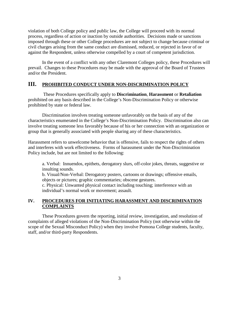process, regardless of action or inaction by outside authorities. Decisions made or sanctions civil charges arising from the same conduct are dismissed, reduced, or rejected in favor of or violation of both College policy and public law, the College will proceed with its normal imposed through these or other College procedures are not subject to change because criminal or against the Respondent, unless otherwise compelled by a court of competent jurisdiction.

 In the event of a conflict with any other Claremont Colleges policy, these Procedures will prevail. Changes to these Procedures may be made with the approval of the Board of Trustees and/or the President.

## **III. PROHIBITED CONDUCT UNDER NON-DISCRIMINATION POLICY**

 These Procedures specifically apply to **Discrimination**, **Harassment** or **Retaliation**  prohibited on any basis described in the College's Non-Discrimination Policy or otherwise prohibited by state or federal law.

 group that is generally associated with people sharing any of these characteristics. Discrimination involves treating someone unfavorably on the basis of any of the characteristics enumerated in the College's Non-Discrimination Policy. Discrimination also can involve treating someone less favorably because of his or her connection with an organization or

 and interferes with work effectiveness. Forms of harassment under the Non-Discrimination Policy include, but are not limited to the following: Harassment refers to unwelcome behavior that is offensive, fails to respect the rights of others

a. Verbal: Innuendos, epithets, derogatory slurs, off-color jokes, threats, suggestive or insulting sounds.

 b. Visual/Non-Verbal: Derogatory posters, cartoons or drawings; offensive emails, objects or pictures; graphic commentaries; obscene gestures.

c. Physical: Unwanted physical contact including touching; interference with an individual's normal work or movement; assault.

## **COMPLAINTS IV. PROCEDURES FOR INITIATING HARASSMENT AND DISCRIMINATION**

 scope of the Sexual Misconduct Policy) when they involve Pomona College students, faculty, These Procedures govern the reporting, initial review, investigation, and resolution of complaints of alleged violations of the Non-Discrimination Policy (not otherwise within the staff, and/or third-party Respondents.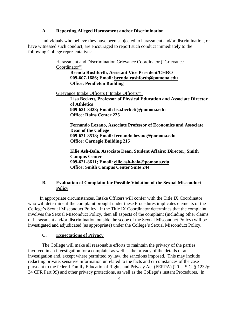#### **A. Reporting Alleged Harassment and/or Discrimination**

 have witnessed such conduct, are encouraged to report such conduct immediately to the Individuals who believe they have been subjected to harassment and/or discrimination, or following College representatives:

> Harassment and Discrimination Grievance Coordinator ("Grievance Coordinator") **Brenda Rushforth, Assistant Vice President/CHRO 909-607-1686; Email: brenda.rushforth@pomona.edu Office: Pendleton Building**  Grievance Intake Officers ("Intake Officers"): **Lisa Beckett, Professor of Physical Education and Associate Director of Athletics 909-621-8428; Email: lisa.beckett@pomona.edu Office: Rains Center 225 Fernando Lozano, Associate Professor of Economics and Associate Dean of the College 909-621-8518; Email: fernando.lozano@pomona.edu Office: Carnegie Building 215 Ellie Ash-Bala, Associate Dean, Student Affairs; Director, Smith**

**Campus Center 909-621-8611; Email: ellie.ash-bala@pomona.edu Office: Smith Campus Center Suite 244** 

## **B. Evaluation of Complaint for Possible Violation of the Sexual Misconduct Policy**

 In appropriate circumstances, Intake Officers will confer with the Title IX Coordinator who will determine if the complaint brought under these Procedures implicates elements of the College's Sexual Misconduct Policy. If the Title IX Coordinator determines that the complaint involves the Sexual Misconduct Policy, then all aspects of the complaint (including other claims of harassment and/or discrimination outside the scope of the Sexual Misconduct Policy) will be investigated and adjudicated (as appropriate) under the College's Sexual Misconduct Policy.

#### **C. Expectations of Privacy**

 involved in an investigation for a complaint as well as the privacy of the details of an The College will make all reasonable efforts to maintain the privacy of the parties investigation and, except where permitted by law, the sanctions imposed. This may include redacting private, sensitive information unrelated to the facts and circumstances of the case pursuant to the federal Family Educational Rights and Privacy Act (FERPA) (20 U.S.C. § 1232g; 34 CFR Part 99) and other privacy protections, as well as the College's instant Procedures. In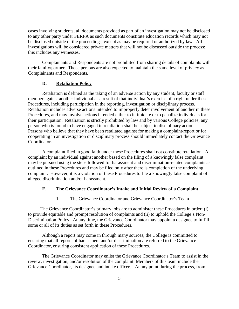investigations will be considered private matters that will not be discussed outside the process; cases involving students, all documents provided as part of an investigation may not be disclosed to any other party under FERPA as such documents constitute education records which may not be disclosed outside of the proceedings, except as may be required or authorized by law. All this includes any witnesses.

 their family/partner. Those persons are also expected to maintain the same level of privacy as Complainants and Respondents*.* Complainants and Respondents are not prohibited from sharing details of complaints with

#### **D.** Retaliation Policy

 their participation. Retaliation is strictly prohibited by law and by various College policies; any person who is found to have engaged in retaliation shall be subject to disciplinary action. Retaliation is defined as the taking of an adverse action by any student, faculty or staff member against another individual as a result of that individual's exercise of a right under these Procedures, including participation in the reporting, investigation or disciplinary process. Retaliation includes adverse actions intended to improperly deter involvement of another in these Procedures, and may involve actions intended either to intimidate or to penalize individuals for Persons who believe that they have been retaliated against for making a complaint/report or for cooperating in an investigation or disciplinary process should immediately contact the Grievance Coordinator.

 A complaint filed in good faith under these Procedures shall not constitute retaliation. A may be pursued using the steps followed for harassment and discrimination-related complaints as complaint. However, it is a violation of these Procedures to file a knowingly false complaint of alleged discrimination and/or harassment. complaint by an individual against another based on the filing of a knowingly false complaint outlined in these Procedures and may be filed only after there is completion of the underlying

#### **E. The Grievance Coordinator's Intake and Initial Review of a Complaint**

1. The Grievance Coordinator and Grievance Coordinator's Team

 to provide equitable and prompt resolution of complaints and (ii) to uphold the College's Non- Discrimination Policy. At any time, the Grievance Coordinator may appoint a designee to fulfill The Grievance Coordinator's primary jobs are to administer these Procedures in order: (i) some or all of its duties as set forth in these Procedures.

 Although a report may come in through many sources, the College is committed to ensuring that all reports of harassment and/or discrimination are referred to the Grievance Coordinator, ensuring consistent application of these Procedures.

 The Grievance Coordinator may enlist the Grievance Coordinator's Team to assist in the review, investigation, and/or resolution of the complaint. Members of this team include the Grievance Coordinator, its designee and intake officers. At any point during the process, from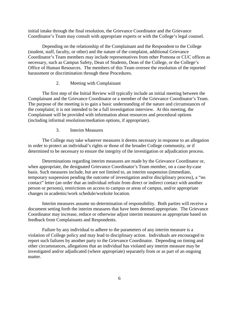Coordinator's Team may consult with appropriate experts or with the College's legal counsel. initial intake through the final resolution, the Grievance Coordinator and the Grievance

Depending on the relationship of the Complainant and the Respondent to the College (student, staff, faculty, or other) and the nature of the complaint, additional Grievance Coordinator's Team members may include representatives from other Pomona or CUC offices as necessary, such as Campus Safety, Dean of Students, Dean of the College, or the College's Office of Human Resources. The members of this Team oversee the resolution of the reported harassment or discrimination through these Procedures.

### 2. Meeting with Complainant

Complainant and the Grievance Coordinator or a member of the Grievance Coordinator's Team. The first step of the Initial Review will typically include an initial meeting between the The purpose of the meeting is to gain a basic understanding of the nature and circumstances of the complaint; it is not intended to be a full investigation interview. At this meeting, the Complainant will be provided with information about resources and procedural options (including informal resolution/mediation options, if appropriate).

#### 3. Interim Measures

 The College may take whatever measures it deems necessary in response to an allegation in order to protect an individual's rights or those of the broader College community, or if determined to be necessary to ensure the integrity of the investigation or adjudication process.

 temporary suspension pending the outcome of investigation and/or disciplinary process), a "no contact" letter (an order that an individual refrain from direct or indirect contact with another Determinations regarding interim measures are made by the Grievance Coordinator or, when appropriate, the designated Grievance Coordinator's Team member, on a case-by-case basis. Such measures include, but are not limited to, an interim suspension (immediate, person or persons), restrictions on access to campus or areas of campus, and/or appropriate changes in academic/work schedule/worksite location.

 Interim measures assume no determination of responsibility. Both parties will receive a document setting forth the interim measures that have been deemed appropriate. The Grievance Coordinator may increase, reduce or otherwise adjust interim measures as appropriate based on feedback from Complainants and Respondents.

 violation of College policy and may lead to disciplinary action. Individuals are encouraged to matter. Failure by any individual to adhere to the parameters of any interim measure is a report such failures by another party to the Grievance Coordinator. Depending on timing and other circumstances, allegations that an individual has violated any interim measure may be investigated and/or adjudicated (where appropriate) separately from or as part of an ongoing matter.<br>
6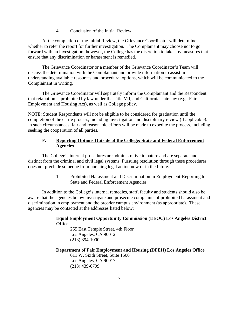4. Conclusion of the Initial Review

 whether to refer the report for further investigation. The Complainant may choose not to go ensure that any discrimination or harassment is remedied. At the completion of the Initial Review, the Grievance Coordinator will determine forward with an investigation; however, the College has the discretion to take any measures that

The Grievance Coordinator or a member of the Grievance Coordinator's Team will discuss the determination with the Complainant and provide information to assist in understanding available resources and procedural options, which will be communicated to the Complainant in writing.

The Grievance Coordinator will separately inform the Complainant and the Respondent that retaliation is prohibited by law under the Title VII, and California state law (e.g., Fair Employment and Housing Act), as well as College policy.

NOTE: Student Respondents will not be eligible to be considered for graduation until the completion of the entire process, including investigation and disciplinary review (if applicable). In such circumstances, fair and reasonable efforts will be made to expedite the process, including seeking the cooperation of all parties.

## **F. Reporting Options Outside of the College: State and Federal Enforcement Agencies**

 distinct from the criminal and civil legal systems. Pursuing resolution through these procedures The College's internal procedures are administrative in nature and are separate and does not preclude someone from pursuing legal action now or in the future.

> 1. Prohibited Harassment and Discrimination in Employment-Reporting to State and Federal Enforcement Agencies

In addition to the College's internal remedies, staff, faculty and students should also be aware that the agencies below investigate and prosecute complaints of prohibited harassment and discrimination in employment and the broader campus environment (as appropriate). These agencies may be contacted at the addresses listed below:

## **Equal Employment Opportunity Commission (EEOC) Los Angeles District Office**

255 East Temple Street, 4th Floor Los Angeles, CA 90012 (213) 894-1000

## **Department of Fair Employment and Housing (DFEH) Los Angeles Office**

611 W. Sixth Street, Suite 1500 Los Angeles, CA 90017 (213) 439-6799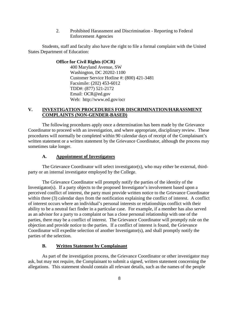2. Prohibited Harassment and Discrimination - Reporting to Federal Enforcement Agencies

 States Department of Education: Students, staff and faculty also have the right to file a formal complaint with the United

#### **Office for Civil Rights (OCR)**

 Web: http://www.ed.gov/ocr 400 Maryland Avenue, SW Washington, DC 20202-1100 Customer Service Hotline #: (800) 421-3481 Facsimile: (202) 453-6012 TDD#: (877) 521-2172 Email: [OCR@ed.gov](mailto:OCR@ed.gov) 

## **V. INVESTIGATION PROCEDURES FOR DISCRIMINATION/HARASSMENT COMPLAINTS (NON-GENDER-BASED)**

 The following procedures apply once a determination has been made by the Grievance sometimes take longer. Coordinator to proceed with an investigation, and where appropriate, disciplinary review. These procedures will normally be completed within 90 calendar days of receipt of the Complainant's written statement or a written statement by the Grievance Coordinator, although the process may

## **A. Appointment of Investigators**

The Grievance Coordinator will select investigator(s), who may either be external, thirdparty or an internal investigator employed by the College.

 perceived conflict of interest, the party must provide written notice to the Grievance Coordinator within three (3) calendar days from the notification explaining the conflict of interest. A conflict ability to be a neutral fact finder in a particular case. For example, if a member has also served as an advisor for a party to a complaint or has a close personal relationship with one of the parties, there may be a conflict of interest. The Grievance Coordinator will promptly rule on the Coordinator will expedite selection of another Investigator(s), and shall promptly notify the The Grievance Coordinator will promptly notify the parties of the identity of the Investigator(s). If a party objects to the proposed Investigator's involvement based upon a of interest occurs where an individual's personal interests or relationships conflict with their objection and provide notice to the parties. If a conflict of interest is found, the Grievance parties of the selection.

## **B. Written Statement by Complainant**

As part of the investigation process, the Grievance Coordinator or other investigator may ask, but may not require, the Complainant to submit a signed, written statement concerning the allegations. This statement should contain all relevant details, such as the names of the people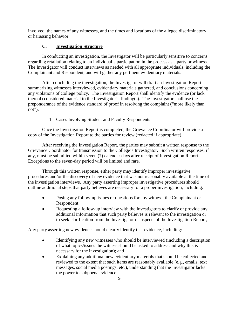or harassing behavior. involved, the names of any witnesses, and the times and locations of the alleged discriminatory

## **C. Investigation Structure**

Complainant and Respondent, and will gather any pertinent evidentiary materials. In conducting an investigation, the Investigator will be particularly sensitive to concerns regarding retaliation relating to an individual's participation in the process as a party or witness. The Investigator will conduct interviews as needed with all appropriate individuals, including the

 Complainant and Respondent, and will gather any pertinent evidentiary materials. After concluding the investigation, the Investigator will draft an Investigation Report summarizing witnesses interviewed, evidentiary materials gathered, and conclusions concerning any violations of College policy. The Investigation Report shall identify the evidence (or lack thereof) considered material to the Investigator's finding(s). The Investigator shall use the preponderance of the evidence standard of proof in resolving the complaint ("more likely than not").

1. Cases Involving Student and Faculty Respondents

Once the Investigation Report is completed, the Grievance Coordinator will provide a copy of the Investigation Report to the parties for review (redacted if appropriate).

 Grievance Coordinator for transmission to the College's Investigator. Such written responses, if any, must be submitted within seven (7) calendar days after receipt of Investigation Report. Exceptions to the seven-day period will be limited and rare. After receiving the Investigation Report, the parties may submit a written response to the

Through this written response, either party may identify improper investigative procedures and/or the discovery of new evidence that was not reasonably available at the time of the investigation interviews. Any party asserting improper investigative procedures should outline additional steps that party believes are necessary for a proper investigation, including:

- Posing any follow-up issues or questions for any witness, the Complainant or Respondent;
- to seek clarification from the Investigator on aspects of the Investigation Report; • Requesting a follow-up interview with the Investigators to clarify or provide any additional information that such party believes is relevant to the investigation or

to seek clarification from the Investigator on aspects of the Investigation Report; Any party asserting new evidence should clearly identify that evidence, including:

- • Identifying any new witnesses who should be interviewed (including a description of what topics/issues the witness should be asked to address and why this is necessary for the investigation); and
- reviewed to the extent that such items are reasonably available (e.g., emails, text • Explaining any additional new evidentiary materials that should be collected and messages, social media postings, etc.), understanding that the Investigator lacks the power to subpoena evidence.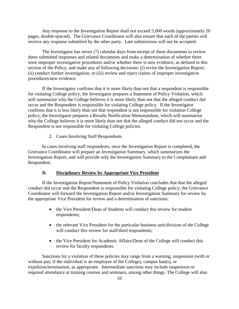pages, double-spaced). The Grievance Coordinator will also ensure that each of the parties will receive any response submitted by the other party. Late submissions will not be accepted. Any response to the Investigation Report shall not exceed 5,000 words (approximately 20

procedures/new evidence. procedures/new evidence.<br>If the Investigator confirms that it is more likely than not that a respondent is responsible The Investigator has seven (7) calendar days from receipt of these documents to review these submitted responses and related documents and make a determination of whether there were improper investigative procedures and/or whether there is new evidence, as defined in this section of the Policy, and make any of following decisions: (i) revise the Investigation Report; (ii) conduct further investigation; or (iii) review and reject claims of improper investigative

 occur and the Respondent is responsible for violating College policy. If the Investigator Respondent is not responsible for violating College policies. for violating College policy, the Investigator prepares a Statement of Policy Violation, which will summarize why the College believes it is more likely than not that the alleged conduct did confirms that it is less likely than not that respondent is not responsible for violation College policy, the Investigator prepares a Results Notification Memorandum, which will summarize why the College believes it is more likely than not that the alleged conduct did not occur and the

2. Cases Involving Staff Respondents

 Investigation Report, and will provide only the Investigation Summary to the Complainant and Respondent. In cases involving staff respondents, once the Investigation Report is completed, the Grievance Coordinator will prepare an Investigation Summary, which summarizes the

#### **D. Disciplinary Review by Appropriate Vice President**

 conduct did occur and the Respondent is responsible for violating College policy, the Grievance If the Investigation Report/Statement of Policy Violation concludes that that the alleged Coordinator will forward the Investigation Report and/or Investigation Summary for review by the appropriate Vice President for review and a determination of sanctions:

- the Vice President/Dean of Students will conduct this review for student respondents;
- the relevant Vice President for the particular business unit/division of the College will conduct this review for staff/third respondents;
- the Vice President for Academic Affairs/Dean of the College will conduct this review for faculty respondents.

Sanctions for a violation of these policies may range from a warning, suspension (with or without pay, if the individual is an employee of the College), campus ban(s), or expulsion/termination, as appropriate. Intermediate sanctions may include suspension or required attendance at training courses and seminars, among other things. The College will also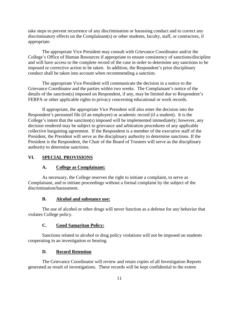take steps to prevent recurrence of any discrimination or harassing conduct and to correct any discriminatory effects on the Complainant(s) or other students, faculty, staff, or contractors, if appropriate.

 The appropriate Vice President may consult with Grievance Coordinator and/or the College's Office of Human Resources if appropriate to ensure consistency of sanctions/discipline conduct shall be taken into account when recommending a sanction. and will have access to the complete record of the case in order to determine any sanctions to be imposed or corrective action to be taken. In addition, the Respondent's prior disciplinary

 The appropriate Vice President will communicate the decision in a notice to the Grievance Coordinator and the parties within two weeks. The Complainant's notice of the details of the sanction(s) imposed on Respondent, if any, may be limited due to Respondent's FERPA or other applicable rights to privacy concerning educational or work records.

 Respondent's personnel file (if an employee) or academic record (if a student). It is the collective bargaining agreement. If the Respondent is a member of the executive staff of the President, the President will serve as the disciplinary authority to determine sanctions. If the If appropriate, the appropriate Vice President will also enter the decision into the College's intent that the sanction(s) imposed will be implemented immediately; however, any decision rendered may be subject to grievance and arbitration procedures of any applicable President is the Respondent, the Chair of the Board of Trustees will serve as the disciplinary authority to determine sanctions.

## **VI. SPECIAL PROVISIONS**

## **A. College as Complainant:**

As necessary, the College reserves the right to initiate a complaint, to serve as Complainant, and to initiate proceedings without a formal complaint by the subject of the discrimination/harassment.

## **B. Alcohol and substance use:**

The use of alcohol or other drugs will never function as a defense for any behavior that violates College policy.

## **C. Good Samaritan Policy:**

Sanctions related to alcohol or drug policy violations will not be imposed on students cooperating in an investigation or hearing.

#### **D. Record Retention**

The Grievance Coordinator will review and retain copies of all Investigation Reports generated as result of investigations. These records will be kept confidential to the extent